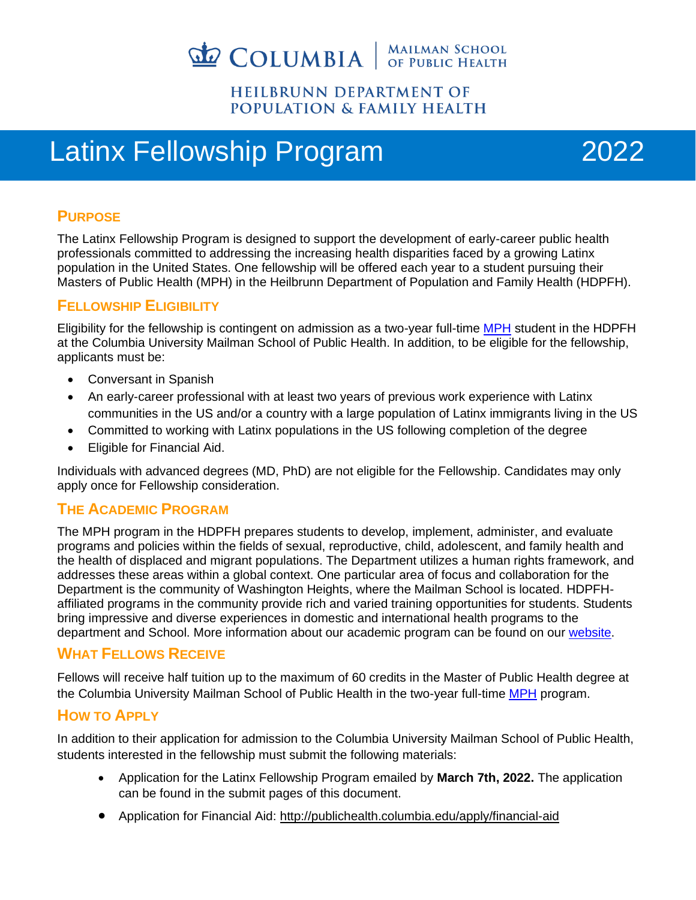

#### **HEILBRUNN DEPARTMENT OF POPULATION & FAMILY HEALTH**

## Latinx Fellowship Program 2022



#### **PURPOSE**

The Latinx Fellowship Program is designed to support the development of early-career public health professionals committed to addressing the increasing health disparities faced by a growing Latinx population in the United States. One fellowship will be offered each year to a student pursuing their Masters of Public Health (MPH) in the Heilbrunn Department of Population and Family Health (HDPFH).

#### **FELLOWSHIP ELIGIBILITY**

Eligibility for the fellowship is contingent on admission as a two-year full-time [MPH](http://publichealth.columbia.edu/degree-programs/columbia-mph) student in the HDPFH at the Columbia University Mailman School of Public Health. In addition, to be eligible for the fellowship, applicants must be:

- Conversant in Spanish
- An early-career professional with at least two years of previous work experience with Latinx communities in the US and/or a country with a large population of Latinx immigrants living in the US
- Committed to working with Latinx populations in the US following completion of the degree
- Eligible for Financial Aid.

Individuals with advanced degrees (MD, PhD) are not eligible for the Fellowship. Candidates may only apply once for Fellowship consideration.

#### **THE ACADEMIC PROGRAM**

The MPH program in the HDPFH prepares students to develop, implement, administer, and evaluate programs and policies within the fields of sexual, reproductive, child, adolescent, and family health and the health of displaced and migrant populations. The Department utilizes a human rights framework, and addresses these areas within a global context. One particular area of focus and collaboration for the Department is the community of Washington Heights, where the Mailman School is located. HDPFHaffiliated programs in the community provide rich and varied training opportunities for students. Students bring impressive and diverse experiences in domestic and international health programs to the department and School. More information about our academic program can be found on our [website.](http://publichealth.columbia.edu/academic-departments/population-family-health)

#### **WHAT FELLOWS RECEIVE**

Fellows will receive half tuition up to the maximum of 60 credits in the Master of Public Health degree at the Columbia University Mailman School of Public Health in the two-year full-time [MPH](http://publichealth.columbia.edu/degree-programs/columbia-mph) program.

#### **HOW TO APPLY**

In addition to their application for admission to the Columbia University Mailman School of Public Health, students interested in the fellowship must submit the following materials:

- Application for the Latinx Fellowship Program emailed by **March 7th, 2022.** The application can be found in the submit pages of this document.
- Application for Financial Aid:<http://publichealth.columbia.edu/apply/financial-aid>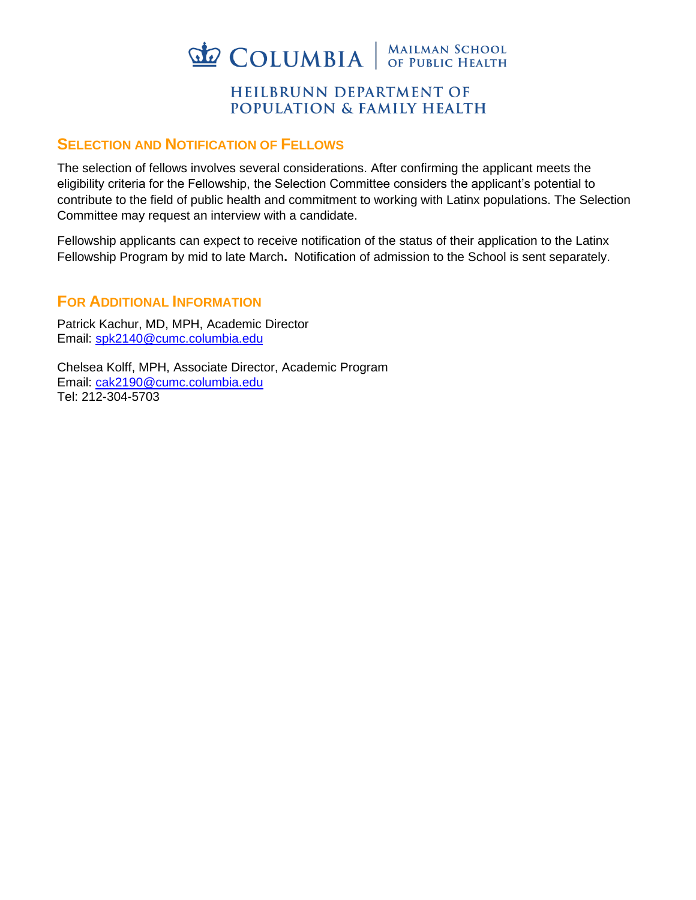

#### **HEILBRUNN DEPARTMENT OF POPULATION & FAMILY HEALTH**

#### **SELECTION AND NOTIFICATION OF FELLOWS**

The selection of fellows involves several considerations. After confirming the applicant meets the eligibility criteria for the Fellowship, the Selection Committee considers the applicant's potential to contribute to the field of public health and commitment to working with Latinx populations. The Selection Committee may request an interview with a candidate.

Fellowship applicants can expect to receive notification of the status of their application to the Latinx Fellowship Program by mid to late March**.** Notification of admission to the School is sent separately.

#### **FOR ADDITIONAL INFORMATION**

Patrick Kachur, MD, MPH, Academic Director Email: [spk2140@cumc.columbia.edu](mailto:spk2140@cumc.columbia.edu)

Chelsea Kolff, MPH, Associate Director, Academic Program Email: [cak2190@cumc.columbia.edu](mailto:cak2190@cumc.columbia.edu) Tel: 212-304-5703